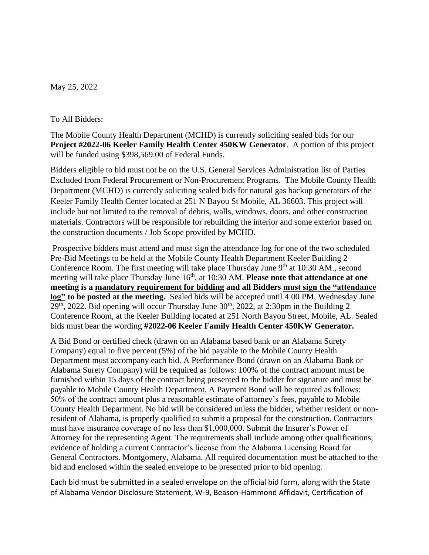May 25, 2022

## To All Bidders:

The Mobile County Health Department (MCHD) is currently soliciting sealed bids for our **Project #2022-06 Keeler Family Health Center 450KW Generator**. A portion of this project will be funded using \$398,569.00 of Federal Funds.

Bidders eligible to bid must not be on the U.S. General Services Administration list of Parties Excluded from Federal Procurement or Non-Procurement Programs. The Mobile County Health Department (MCHD) is currently soliciting sealed bids for natural gas backup generators of the Keeler Family Health Center located at 251 N Bayou St Mobile, AL 36603. This project will include but not limited to the removal of debris, walls, windows, doors, and other construction materials. Contractors will be responsible for rebuilding the interior and some exterior based on the construction documents / Job Scope provided by MCHD.

Prospective bidders must attend and must sign the attendance log for one of the two scheduled Pre-Bid Meetings to be held at the Mobile County Health Department Keeler Building 2 Conference Room. The first meeting will take place Thursday June  $9<sup>th</sup>$  at 10:30 AM., second meeting will take place Thursday June 16<sup>th</sup>, at 10:30 AM. **Please note that attendance at one meeting is a mandatory requirement for bidding and all Bidders must sign the "attendance log" to be posted at the meeting.** Sealed bids will be accepted until 4:00 PM, Wednesday June  $29<sup>th</sup>$ , 2022. Bid opening will occur Thursday June  $30<sup>th</sup>$ , 2022, at 2:30pm in the Building 2 Conference Room, at the Keeler Building located at 251 North Bayou Street, Mobile, AL. Sealed bids must bear the wording **#2022-06 Keeler Family Health Center 450KW Generator.**

A Bid Bond or certified check (drawn on an Alabama based bank or an Alabama Surety Company) equal to five percent (5%) of the bid payable to the Mobile County Health Department must accompany each bid. A Performance Bond (drawn on an Alabama Bank or Alabama Surety Company) will be required as follows: 100% of the contract amount must be furnished within 15 days of the contract being presented to the bidder for signature and must be payable to Mobile County Health Department. A Payment Bond will be required as follows: 50% of the contract amount plus a reasonable estimate of attorney's fees, payable to Mobile County Health Department. No bid will be considered unless the bidder, whether resident or nonresident of Alabama, is properly qualified to submit a proposal for the construction. Contractors must have insurance coverage of no less than \$1,000,000. Submit the Insurer's Power of Attorney for the representing Agent. The requirements shall include among other qualifications, evidence of holding a current Contractor's license from the Alabama Licensing Board for General Contractors. Montgomery, Alabama. All required documentation must be attached to the bid and enclosed within the sealed envelope to be presented prior to bid opening.

Each bid must be submitted in a sealed envelope on the official bid form, along with the State of Alabama Vendor Disclosure Statement, W-9, Beason-Hammond Affidavit, Certification of